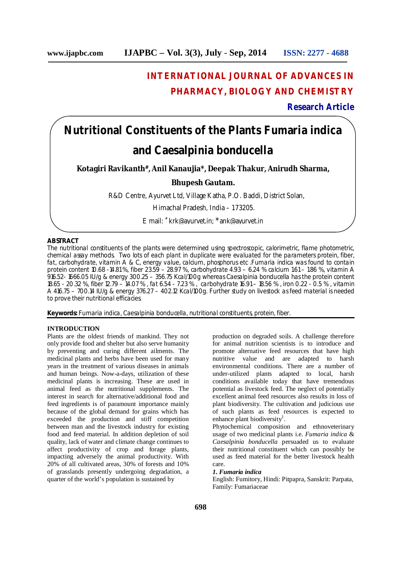# **INTERNATIONAL JOURNAL OF ADVANCES IN PHARMACY, BIOLOGY AND CHEMISTRY**

# **Research Article**

# **Nutritional Constituents of the Plants Fumaria indica and Caesalpinia bonducella**

**Kotagiri Ravikanth#, Anil Kanaujia\*, Deepak Thakur, Anirudh Sharma,**

# **Bhupesh Gautam.**

R&D Centre, Ayurvet Ltd, Village Katha, P.O. Baddi, District Solan,

Himachal Pradesh, India – 173205.

E mail: # [krk@ayurvet.in;](mailto:krk@ayurvet.in;) \*[ank@ayurvet.in](mailto:ank@ayurvet.in)

# **ABSTRACT**

The nutritional constituents of the plants were determined using spectroscopic, calorimetric, flame photometric, chemical assay methods. Two lots of each plant in duplicate were evaluated for the parameters protein, fiber, fat, carbohydrate, vitamin A & C, energy value, calcium, phosphorus etc .*Fumaria indica* was found to contain protein content 10.68 -14.81 %, fiber 23.59 – 28.97 %, carbohydrate 4.93 – 6.24 % calcium 1.61 – 1.86 %, vitamin A 916.52- 1666.05 IU/g & energy 300.25 – 356.75 Kcal/100g whereas *Caesalpinia bonducella has* the protein content 18.65 - 20.32 %, fiber 12.79 – 14.07 % , fat 6.54 - 7.23 % , carbohydrate 16.91 – 18.56 % , iron 0.22 - 0.5 % , vitamin A 416.75 – 700.14 IU/g & energy 376.27 – 402.12 Kcal/100g. Further study on livestock as feed material is needed to prove their nutritional efficacies.

**Keywords:** *Fumaria indica, Caesalpinia bonducella*, nutritional constituents, protein, fiber.

# **INTRODUCTION**

Plants are the oldest friends of mankind. They not only provide food and shelter but also serve humanity by preventing and curing different ailments. The medicinal plants and herbs have been used for many years in the treatment of various diseases in animals and human beings. Now-a-days, utilization of these medicinal plants is increasing. These are used in animal feed as the nutritional supplements. The interest in search for alternative/additional food and feed ingredients is of paramount importance mainly because of the global demand for grains which has exceeded the production and stiff competition between man and the livestock industry for existing food and feed material. In addition depletion of soil quality, lack of water and climate change continues to affect productivity of crop and forage plants, impacting adversely the animal productivity. With 20% of all cultivated areas, 30% of forests and 10% of grasslands presently undergoing degradation, a quarter of the world's population is sustained by

production on degraded soils. A challenge therefore for animal nutrition scientists is to introduce and promote alternative feed resources that have high nutritive value and are adapted to harsh environmental conditions. There are a number of under-utilized plants adapted to local, harsh conditions available today that have tremendous potential as livestock feed. The neglect of potentially excellent animal feed resources also results in loss of plant biodiversity. The cultivation and judicious use of such plants as feed resources is expected to enhance plant biodiversity<sup>1</sup>.

Phytochemical composition and ethnoveterinary usage of two medicinal plants i.e. *Fumaria indica* & *Caesalpinia bonducella* persuaded us to evaluate their nutritional constituent which can possibly be used as feed material for the better livestock health care.

#### *1. Fumaria indica*

English: Fumitory, Hindi: Pitpapra, Sanskrit: Parpata, Family: Fumariaceae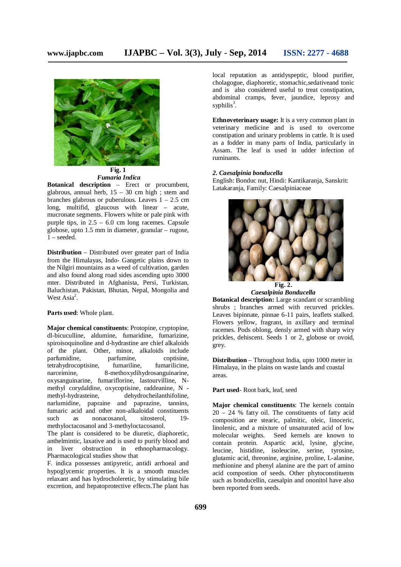

*Fumaria Indica*

**Botanical description** – Erect or procumbent, glabrous, annual herb, 15 – 30 cm high ; stem and branches glabrous or puberulous. Leaves  $1 - 2.5$  cm long, multifid, glaucous with linear – acute, mucronate segments. Flowers white or pale pink with purple tips, in 2.5 – 6.0 cm long racemes. Capsule globose, upto 1.5 mm in diameter, granular – rugose, 1 – seeded.

**Distribution** – Distributed over greater part of India from the Himalayas, Indo- Gangetic plains down to the Nilgiri mountains as a weed of cultivation, garden and also found along road sides ascending upto 3000 mter. Distributed in Afghanista, Persi, Turkistan, Baluchistan, Pakistan, Bhutan, Nepal, Mongolia and West Asia<sup>2</sup>.

# **Parts used**: Whole plant.

**Major chemical constituents**: Protopine, cryptopine, dl-bicuculline, aldumine, fumaridine, fumarizine, spiroisoquinoline and d-hydrastine are chief alkaloids of the plant. Other, minor, alkaloids include parfumidine, parfumine, coptisine,<br>tetrahydrocoptisine, fumariline, fumarilicine, tetrahydrocoptisine, fumariline,<br>narceimine. 8-methoxydih 8-methoxydihydrosanguinarine, oxysanguinarine, fumariflorine, lastourvilline, Nmethyl corydaldine, oxycoptisine, raddeanine, N - methyl-hydrasteine, dehydrocheilanthifoline, dehydrocheilanthifoline, narlumidine, papraine and paprazine, tannins, fumaric acid and other non-alkaloidal constituents<br>such as nonacosanol, sitosterol, 19such as nonacosanol, methyloctacosanol and 3-methyloctacosanol.

The plant is considered to be diuretic, diaphoretic, anthelmintic, laxative and is used to purify blood and in liver obstruction in ethnopharmacology. Pharmacological studies show that

F. indica possesses antipyretic, antidi arrhoeal and hypoglycemic properties. It is a smooth muscles relaxant and has hydrocholeretic, by stimulating bile excretion, and hepatoprotective effects.The plant has local reputation as antidyspeptic, blood purifier, cholagogue, diaphoretic, stomachic,sedativeand tonic and is also considered useful to treat constipation, abdominal cramps, fever, jaundice, leprosy and syphilis<sup>3</sup>.

**Ethnoveterinary usage:** It is a very common plant in veterinary medicine and is used to overcome constipation and urinary problems in cattle. It is used as a fodder in many parts of India, particularly in Assam. The leaf is used in udder infection of ruminants.

#### *2. Caesalpinia bonducella*

English: Bonduc nut, Hindi: Kantikaranja, Sanskrit: Latakaranja, Family: Caesalpiniaceae



*Caesalpinia Bonducella*

**Botanical description:** Large scandant or scrambling shrubs ; branches armed with recurved prickles. Leaves bipinnate, pinnae 6-11 pairs, leaflets stalked. Flowers yellow, fragrant, in axillary and terminal racemes. Pods oblong, densly armed with sharp wiry prickles, dehiscent. Seeds 1 or 2, globose or ovoid, grey.

**Distribution** – Throughout India, upto 1000 meter in Himalaya, in the plains on waste lands and coastal areas.

**Part used**- Root bark, leaf, seed

**Major chemical constituents**: The kernels contain 20 – 24 % fatty oil. The constituents of fatty acid composition are stearic, palmitic, oleic, linoceric, linolenic, and a mixture of unsaturated acid of low molecular weights. Seed kernels are known to contain protein. Aspartic acid, lysine, glycine, leucine, histidine, isoleucine, serine, tyrosine, glutamic acid, threonine, arginine, proline, L-alanine, methionine and phenyl alanine are the part of amino acid compostion of seeds. Other phytoconstituents such as bonducellin, caesalpin and ononitol have also been reported from seeds.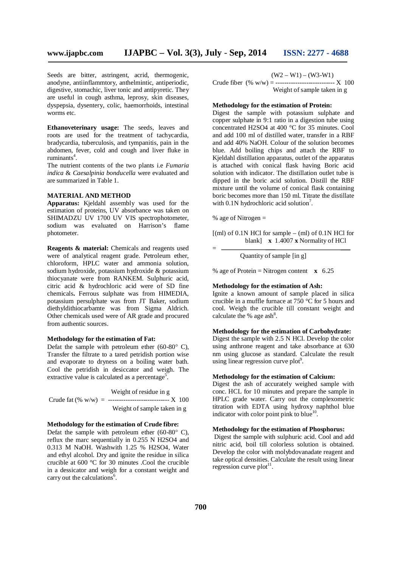Seeds are bitter, astringent, acrid, thermogenic, anodyne, antiinflammtory, anthelmintic, antiperiodic, digestive, stomachic, liver tonic and antipyretic. They are useful in cough asthma, leprosy, skin diseases, dyspepsia, dysentery, colic, haemorrhoids, intestinal worms etc.

**Ethanoveterinary usage:** The seeds, leaves and roots are used for the treatment of tachycardia, bradycardia, tuberculosis, and tympanitis, pain in the abdomen, fever, cold and cough and liver fluke in ruminants 4 .

The nutrient contents of the two plants i.e *Fumaria indica* & *Caesalpinia bonducella* were evaluated and are summarized in Table 1.

# **MATERIAL AND METHOD**

**Apparatus:** Kjeldahl assembly was used for the estimation of proteins, UV absorbance was taken on SHIMADZU UV 1700 UV VIS spectrophotometer, sodium was evaluated on Harrison's flame photometer.

**Reagents & material:** Chemicals and reagents used were of analytical reagent grade. Petroleum ether, chloroform, HPLC water and ammonia solution, sodium hydroxide, potassium hydroxide & potassium thiocyanate were from RANKEM. Sulphuric acid, citric acid & hydrochloric acid were of SD fine chemicals**.** Ferrous sulphate was from HIMEDIA, potassium persulphate was from JT Baker, sodium diethyldithiocarbamte was from Sigma Aldrich. Other chemicals used were of AR grade and procured from authentic sources.

#### **Methodology for the estimation of Fat:**

Defat the sample with petroleum ether (60-80 $^{\circ}$  C), Transfer the filtrate to a tared petridish portion wise and evaporate to dryness on a boiling water bath. Cool the petridish in desiccator and weigh. The extractive value is calculated as a percentage<sup>5</sup>.

Weight of residue in g Crude fat (% w/w) = ----------------------------------  $X$  100 Weight of sample taken in g

#### **Methodology for the estimation of Crude fibre:**

Defat the sample with petroleum ether (60-80 $^{\circ}$  C), reflux the marc sequentially in 0.255 N H2SO4 and 0.313 M NaOH. Washwith 1.25 % H2SO4, Water and ethyl alcohol. Dry and ignite the residue in silica crucible at 600 °C for 30 minutes .Cool the crucible in a dessicator and weigh for a constant weight and carry out the calculations<sup>6</sup>.

 $(W2 - W1) - (W3-W1)$ 

Crude fiber  $(\% w/w) =$  ---------------------------- X 100 Weight of sample taken in g

#### **Methodology for the estimation of Protein:**

Digest the sample with potassium sulphate and copper sulphate in 9:1 ratio in a digestion tube using concentrated H2SO4 at 400 °C for 35 minutes. Cool and add 100 ml of distilled water, transfer in a RBF and add 40% NaOH. Colour of the solution becomes blue. Add boiling chips and attach the RBF to Kjeldahl distillation apparatus, outlet of the apparatus is attached with conical flask having Boric acid solution with indicator. The distillation outlet tube is dipped in the boric acid solution. Distill the RBF mixture until the volume of conical flask containing boric becomes more than 150 ml. Titrate the distillate with 0.1N hydrochloric acid solution<sup>7</sup>.

% age of Nitrogen  $=$ 

=

 $[(ml)$  of 0.1N HCl for sample –  $(ml)$  of 0.1N HCl for blank] **x** 1.4007 **x** Normality of HCl

Quantity of sample [in g]

% age of Protein = Nitrogen content **x** 6.25

# **Methodology for the estimation of Ash:**

Ignite a known amount of sample placed in silica crucible in a muffle furnace at 750 °C for 5 hours and cool. Weigh the crucible till constant weight and calculate the % age  $ash<sup>8</sup>$ .

# **Methodology for the estimation of Carbohydrate:**

Digest the sample with 2.5 N HCl. Develop the color using anthrone reagent and take absorbance at 630 nm using glucose as standard. Calculate the result using linear regression curve plot<sup>9</sup>.

#### **Methodology for the estimation of Calcium:**

Digest the ash of accurately weighed sample with conc. HCL for 10 minutes and prepare the sample in HPLC grade water. Carry out the complexometric titration with EDTA using hydroxy naphthol blue indicator with color point pink to blue<sup>10</sup>.

#### **Methodology for the estimation of Phosphorus:**

Digest the sample with sulphuric acid. Cool and add nitric acid, boil till colorless solution is obtained. Develop the color with molybdovanadate reagent and take optical densities. Calculate the result using linear regression curve plot<sup>11</sup>.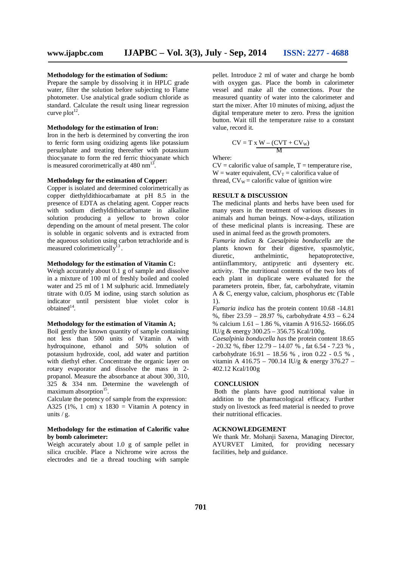### **Methodology for the estimation of Sodium:**

Prepare the sample by dissolving it in HPLC grade water, filter the solution before subjecting to Flame photometer. Use analytical grade sodium chloride as standard. Calculate the result using linear regression curve plot<sup>12</sup>.

#### **Methodology for the estimation of Iron:**

Iron in the herb is determined by converting the iron to ferric form using oxidizing agents like potassium persulphate and treating thereafter with potassium thiocyanate to form the red ferric thiocyanate which is measured cororimetrically at  $480 \text{ nm}^{13}$ .

#### **Methodology for the estimation of Copper:**

Copper is isolated and determined colorimetrically as copper diethyldithiocarbamate at pH 8.5 in the presence of EDTA as chelating agent. Copper reacts with sodium diethyldithiocarbamate in alkaline solution producing a yellow to brown color depending on the amount of metal present. The color is soluble in organic solvents and is extracted from the aqueous solution using carbon tetrachloride and is measured colorimetrically<sup>13</sup> .

# **Methodology for the estimation of Vitamin C:**

Weigh accurately about 0.1 g of sample and dissolve in a mixture of 100 ml of freshly boiled and cooled water and 25 ml of 1 M sulphuric acid. Immediately titrate with 0.05 M iodine, using starch solution as indicator until persistent blue violet color is obtained<sup>14</sup>.

# **Methodology for the estimation of Vitamin A;**

Boil gently the known quantity of sample containing not less than 500 units of Vitamin A with hydroquinone, ethanol and 50% solution of potassium hydroxide, cool, add water and partition with diethyl ether. Concentrate the organic layer on rotary evaporator and dissolve the mass in 2 propanol. Measure the absorbance at about 300, 310, 325 & 334 nm. Determine the wavelength of maximum absorption<sup>15</sup>.

Calculate the potency of sample from the expression: A325 (1%, 1 cm)  $x$  1830 = Vitamin A potency in units / g.

#### **Methodology for the estimation of Calorific value by bomb calorimeter:**

Weigh accurately about 1.0 g of sample pellet in silica crucible. Place a Nichrome wire across the electrodes and tie a thread touching with sample

pellet. Introduce 2 ml of water and charge he bomb with oxygen gas. Place the bomb in calorimeter vessel and make all the connections. Pour the measured quantity of water into the calorimeter and start the mixer. After 10 minutes of mixing, adjust the digital temperature meter to zero. Press the ignition button. Wait till the temperature raise to a constant value, record it.

$$
CV = T \times \frac{W - (CVT + CV_w)}{M}
$$

Where:

 $CV =$  calorific value of sample,  $T =$  temperature rise, W = water equivalent,  $CV_T =$  calorifica value of thread,  $CV_w =$  calorific value of ignition wire

# **RESULT & DISCUSSION**

The medicinal plants and herbs have been used for many years in the treatment of various diseases in animals and human beings. Now-a-days, utilization of these medicinal plants is increasing. These are used in animal feed as the growth promoters.

*Fumaria indica* & *Caesalpinia bonducella* are the plants known for their digestive, spasmolytic, diuretic, anthelmintic, hepatoprotective, diuretic, anthelmintic, hepatoprotective, antiinflammtory, antipyretic anti dysentery etc. activity. The nutritional contents of the two lots of each plant in duplicate were evaluated for the parameters protein, fiber, fat, carbohydrate, vitamin A & C, energy value, calcium, phosphorus etc (Table 1).

*Fumaria indica* has the protein content 10.68 -14.81 %, fiber 23.59 – 28.97 %, carbohydrate 4.93 – 6.24 % calcium 1.61 – 1.86 %, vitamin A 916.52- 1666.05 IU/g & energy 300.25 – 356.75 Kcal/100g.

*Caesalpinia bonducella has* the protein content 18.65  $- 20.32$  %, fiber  $12.79 - 14.07$  %, fat 6.54 - 7.23 %, carbohydrate  $16.91 - 18.56 %$  , iron 0.22 - 0.5 %. vitamin A 416.75 – 700.14 IU/g & energy  $376.27$  – 402.12 Kcal/100g

#### **CONCLUSION**

Both the plants have good nutritional value in addition to the pharmacological efficacy. Further study on livestock as feed material is needed to prove their nutritional efficacies.

# **ACKNOWLEDGEMENT**

We thank Mr. Mohanji Saxena, Managing Director, AYURVET Limited, for providing necessary facilities, help and guidance.